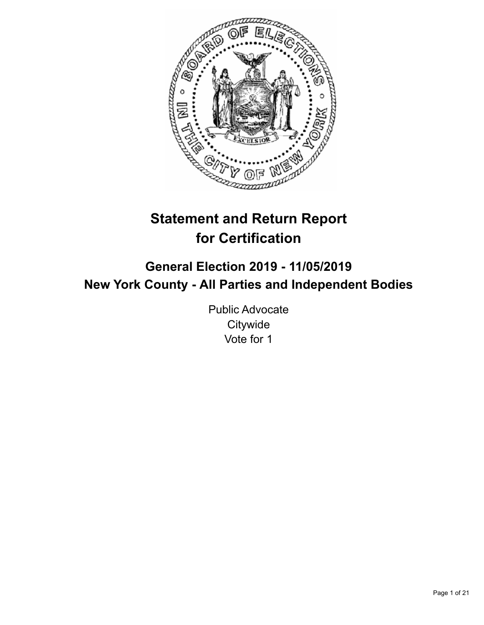

# **Statement and Return Report for Certification**

## **General Election 2019 - 11/05/2019 New York County - All Parties and Independent Bodies**

Public Advocate **Citywide** Vote for 1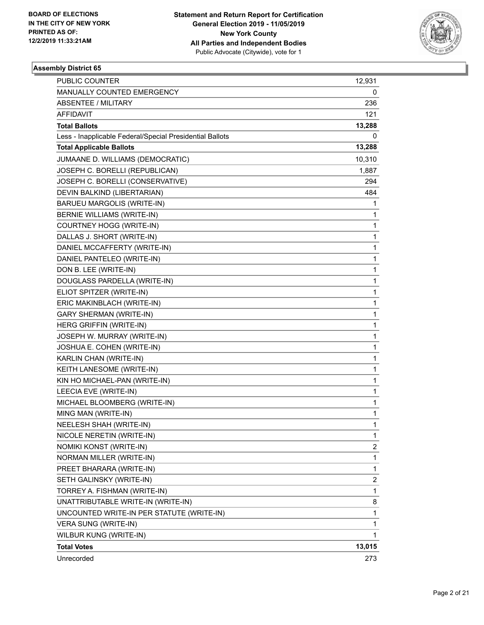

| PUBLIC COUNTER                                           | 12,931         |
|----------------------------------------------------------|----------------|
| MANUALLY COUNTED EMERGENCY                               | 0              |
| <b>ABSENTEE / MILITARY</b>                               | 236            |
| AFFIDAVIT                                                | 121            |
| <b>Total Ballots</b>                                     | 13,288         |
| Less - Inapplicable Federal/Special Presidential Ballots | 0              |
| <b>Total Applicable Ballots</b>                          | 13,288         |
| JUMAANE D. WILLIAMS (DEMOCRATIC)                         | 10,310         |
| JOSEPH C. BORELLI (REPUBLICAN)                           | 1,887          |
| JOSEPH C. BORELLI (CONSERVATIVE)                         | 294            |
| DEVIN BALKIND (LIBERTARIAN)                              | 484            |
| BARUEU MARGOLIS (WRITE-IN)                               | 1              |
| <b>BERNIE WILLIAMS (WRITE-IN)</b>                        | 1              |
| COURTNEY HOGG (WRITE-IN)                                 | 1              |
| DALLAS J. SHORT (WRITE-IN)                               | 1              |
| DANIEL MCCAFFERTY (WRITE-IN)                             | 1              |
| DANIEL PANTELEO (WRITE-IN)                               | 1              |
| DON B. LEE (WRITE-IN)                                    | 1              |
| DOUGLASS PARDELLA (WRITE-IN)                             | 1              |
| ELIOT SPITZER (WRITE-IN)                                 | 1              |
| ERIC MAKINBLACH (WRITE-IN)                               | 1              |
| <b>GARY SHERMAN (WRITE-IN)</b>                           | 1              |
| HERG GRIFFIN (WRITE-IN)                                  | 1              |
| JOSEPH W. MURRAY (WRITE-IN)                              | 1              |
| JOSHUA E. COHEN (WRITE-IN)                               | 1              |
| KARLIN CHAN (WRITE-IN)                                   | 1              |
| KEITH LANESOME (WRITE-IN)                                | 1              |
| KIN HO MICHAEL-PAN (WRITE-IN)                            | 1              |
| LEECIA EVE (WRITE-IN)                                    | 1              |
| MICHAEL BLOOMBERG (WRITE-IN)                             | 1              |
| MING MAN (WRITE-IN)                                      | 1              |
| NEELESH SHAH (WRITE-IN)                                  | 1              |
| NICOLE NERETIN (WRITE-IN)                                | 1              |
| NOMIKI KONST (WRITE-IN)                                  | $\overline{c}$ |
| NORMAN MILLER (WRITE-IN)                                 | 1              |
| PREET BHARARA (WRITE-IN)                                 | $\mathbf{1}$   |
| SETH GALINSKY (WRITE-IN)                                 | 2              |
| TORREY A. FISHMAN (WRITE-IN)                             | 1              |
| UNATTRIBUTABLE WRITE-IN (WRITE-IN)                       | 8              |
| UNCOUNTED WRITE-IN PER STATUTE (WRITE-IN)                | 1              |
| VERA SUNG (WRITE-IN)                                     | 1              |
| WILBUR KUNG (WRITE-IN)                                   | 1              |
| <b>Total Votes</b>                                       | 13,015         |
| Unrecorded                                               | 273            |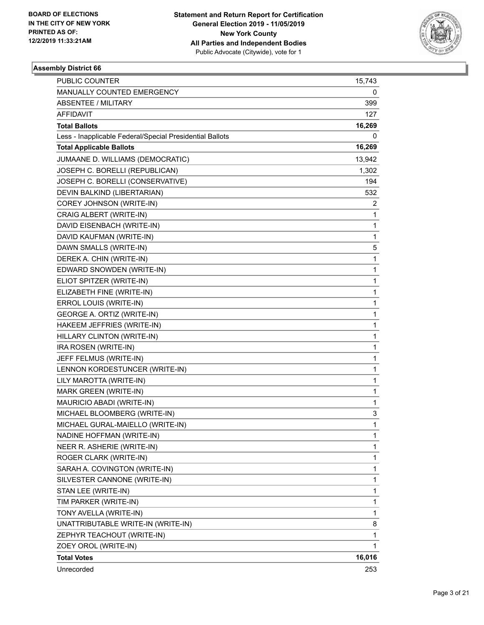

| PUBLIC COUNTER                                           | 15,743         |
|----------------------------------------------------------|----------------|
| MANUALLY COUNTED EMERGENCY                               | 0              |
| <b>ABSENTEE / MILITARY</b>                               | 399            |
| AFFIDAVIT                                                | 127            |
| <b>Total Ballots</b>                                     | 16,269         |
| Less - Inapplicable Federal/Special Presidential Ballots | 0              |
| <b>Total Applicable Ballots</b>                          | 16,269         |
| JUMAANE D. WILLIAMS (DEMOCRATIC)                         | 13,942         |
| JOSEPH C. BORELLI (REPUBLICAN)                           | 1,302          |
| JOSEPH C. BORELLI (CONSERVATIVE)                         | 194            |
| DEVIN BALKIND (LIBERTARIAN)                              | 532            |
| COREY JOHNSON (WRITE-IN)                                 | $\overline{2}$ |
| CRAIG ALBERT (WRITE-IN)                                  | 1              |
| DAVID EISENBACH (WRITE-IN)                               | 1              |
| DAVID KAUFMAN (WRITE-IN)                                 | 1              |
| DAWN SMALLS (WRITE-IN)                                   | 5              |
| DEREK A. CHIN (WRITE-IN)                                 | 1              |
| EDWARD SNOWDEN (WRITE-IN)                                | 1              |
| ELIOT SPITZER (WRITE-IN)                                 | 1              |
| ELIZABETH FINE (WRITE-IN)                                | 1              |
| ERROL LOUIS (WRITE-IN)                                   | 1              |
| GEORGE A. ORTIZ (WRITE-IN)                               | 1              |
| HAKEEM JEFFRIES (WRITE-IN)                               | 1              |
| HILLARY CLINTON (WRITE-IN)                               | 1              |
| IRA ROSEN (WRITE-IN)                                     | 1              |
| JEFF FELMUS (WRITE-IN)                                   | 1              |
| LENNON KORDESTUNCER (WRITE-IN)                           | 1              |
| LILY MAROTTA (WRITE-IN)                                  | 1              |
| MARK GREEN (WRITE-IN)                                    | 1              |
| MAURICIO ABADI (WRITE-IN)                                | 1              |
| MICHAEL BLOOMBERG (WRITE-IN)                             | 3              |
| MICHAEL GURAL-MAIELLO (WRITE-IN)                         | 1              |
| NADINE HOFFMAN (WRITE-IN)                                | 1              |
| NEER R. ASHERIE (WRITE-IN)                               | 1              |
| ROGER CLARK (WRITE-IN)                                   | 1              |
| SARAH A. COVINGTON (WRITE-IN)                            | 1              |
| SILVESTER CANNONE (WRITE-IN)                             | 1              |
| STAN LEE (WRITE-IN)                                      | 1              |
| TIM PARKER (WRITE-IN)                                    | 1              |
| TONY AVELLA (WRITE-IN)                                   | 1              |
| UNATTRIBUTABLE WRITE-IN (WRITE-IN)                       | 8              |
| ZEPHYR TEACHOUT (WRITE-IN)                               | 1              |
| ZOEY OROL (WRITE-IN)                                     | 1              |
| <b>Total Votes</b>                                       | 16,016         |
| Unrecorded                                               | 253            |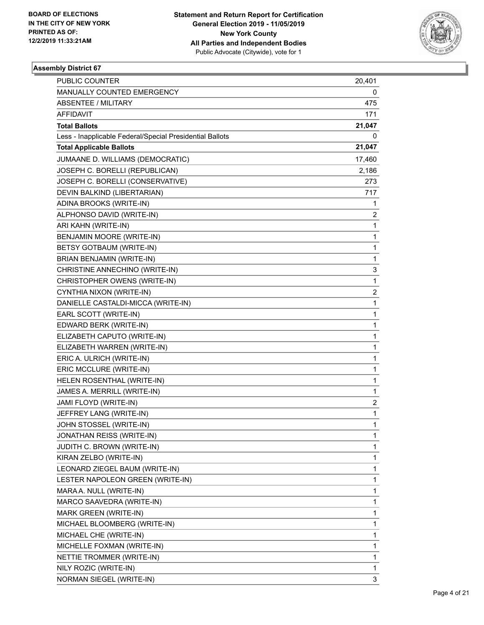

| <b>PUBLIC COUNTER</b>                                    | 20,401                  |
|----------------------------------------------------------|-------------------------|
| MANUALLY COUNTED EMERGENCY                               | 0                       |
| <b>ABSENTEE / MILITARY</b>                               | 475                     |
| AFFIDAVIT                                                | 171                     |
| <b>Total Ballots</b>                                     | 21,047                  |
| Less - Inapplicable Federal/Special Presidential Ballots | 0                       |
| <b>Total Applicable Ballots</b>                          | 21,047                  |
| JUMAANE D. WILLIAMS (DEMOCRATIC)                         | 17,460                  |
| JOSEPH C. BORELLI (REPUBLICAN)                           | 2,186                   |
| JOSEPH C. BORELLI (CONSERVATIVE)                         | 273                     |
| DEVIN BALKIND (LIBERTARIAN)                              | 717                     |
| ADINA BROOKS (WRITE-IN)                                  | 1                       |
| ALPHONSO DAVID (WRITE-IN)                                | 2                       |
| ARI KAHN (WRITE-IN)                                      | 1                       |
| BENJAMIN MOORE (WRITE-IN)                                | 1                       |
| BETSY GOTBAUM (WRITE-IN)                                 | 1                       |
| BRIAN BENJAMIN (WRITE-IN)                                | 1                       |
| CHRISTINE ANNECHINO (WRITE-IN)                           | 3                       |
| CHRISTOPHER OWENS (WRITE-IN)                             | 1                       |
| CYNTHIA NIXON (WRITE-IN)                                 | $\overline{\mathbf{c}}$ |
| DANIELLE CASTALDI-MICCA (WRITE-IN)                       | 1                       |
| EARL SCOTT (WRITE-IN)                                    | 1                       |
| EDWARD BERK (WRITE-IN)                                   | 1                       |
| ELIZABETH CAPUTO (WRITE-IN)                              | 1                       |
| ELIZABETH WARREN (WRITE-IN)                              | 1                       |
| ERIC A. ULRICH (WRITE-IN)                                | 1                       |
| ERIC MCCLURE (WRITE-IN)                                  | 1                       |
| HELEN ROSENTHAL (WRITE-IN)                               | 1                       |
| JAMES A. MERRILL (WRITE-IN)                              | 1                       |
| JAMI FLOYD (WRITE-IN)                                    | 2                       |
| JEFFREY LANG (WRITE-IN)                                  | 1                       |
| JOHN STOSSEL (WRITE-IN)                                  | 1                       |
| JONATHAN REISS (WRITE-IN)                                | 1                       |
| JUDITH C. BROWN (WRITE-IN)                               | 1                       |
| KIRAN ZELBO (WRITE-IN)                                   | 1                       |
| LEONARD ZIEGEL BAUM (WRITE-IN)                           | 1                       |
| LESTER NAPOLEON GREEN (WRITE-IN)                         | 1                       |
| MARA A. NULL (WRITE-IN)                                  | 1                       |
| MARCO SAAVEDRA (WRITE-IN)                                | 1                       |
| MARK GREEN (WRITE-IN)                                    | 1                       |
| MICHAEL BLOOMBERG (WRITE-IN)                             | 1                       |
| MICHAEL CHE (WRITE-IN)                                   | 1                       |
| MICHELLE FOXMAN (WRITE-IN)                               | 1                       |
| NETTIE TROMMER (WRITE-IN)                                | 1                       |
| NILY ROZIC (WRITE-IN)                                    | 1                       |
| NORMAN SIEGEL (WRITE-IN)                                 | 3                       |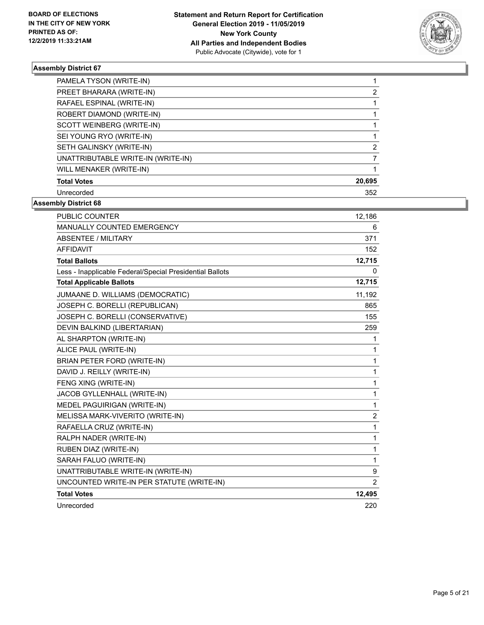

| PAMELA TYSON (WRITE-IN)            |        |
|------------------------------------|--------|
| PREET BHARARA (WRITE-IN)           | 2      |
| RAFAEL ESPINAL (WRITE-IN)          |        |
| ROBERT DIAMOND (WRITE-IN)          |        |
| SCOTT WEINBERG (WRITE-IN)          |        |
| SEI YOUNG RYO (WRITE-IN)           |        |
| SETH GALINSKY (WRITE-IN)           | 2      |
| UNATTRIBUTABLE WRITE-IN (WRITE-IN) |        |
| WILL MENAKER (WRITE-IN)            |        |
| <b>Total Votes</b>                 | 20,695 |
| Unrecorded                         | 352    |

| <b>PUBLIC COUNTER</b>                                    | 12,186         |
|----------------------------------------------------------|----------------|
| MANUALLY COUNTED EMERGENCY                               | 6              |
| ABSENTEE / MILITARY                                      | 371            |
| <b>AFFIDAVIT</b>                                         | 152            |
| <b>Total Ballots</b>                                     | 12,715         |
| Less - Inapplicable Federal/Special Presidential Ballots | 0              |
| <b>Total Applicable Ballots</b>                          | 12,715         |
| JUMAANE D. WILLIAMS (DEMOCRATIC)                         | 11,192         |
| JOSEPH C. BORELLI (REPUBLICAN)                           | 865            |
| JOSEPH C. BORELLI (CONSERVATIVE)                         | 155            |
| DEVIN BALKIND (LIBERTARIAN)                              | 259            |
| AL SHARPTON (WRITE-IN)                                   | 1              |
| ALICE PAUL (WRITE-IN)                                    | 1              |
| BRIAN PETER FORD (WRITE-IN)                              | $\mathbf{1}$   |
| DAVID J. REILLY (WRITE-IN)                               | $\mathbf{1}$   |
| FENG XING (WRITE-IN)                                     | 1              |
| JACOB GYLLENHALL (WRITE-IN)                              | $\mathbf{1}$   |
| MEDEL PAGUIRIGAN (WRITE-IN)                              | $\mathbf{1}$   |
| MELISSA MARK-VIVERITO (WRITE-IN)                         | $\overline{c}$ |
| RAFAELLA CRUZ (WRITE-IN)                                 | 1              |
| RALPH NADER (WRITE-IN)                                   | $\mathbf{1}$   |
| RUBEN DIAZ (WRITE-IN)                                    | 1              |
| SARAH FALUO (WRITE-IN)                                   | $\mathbf{1}$   |
| UNATTRIBUTABLE WRITE-IN (WRITE-IN)                       | 9              |
| UNCOUNTED WRITE-IN PER STATUTE (WRITE-IN)                | $\overline{2}$ |
| <b>Total Votes</b>                                       | 12,495         |
| Unrecorded                                               | 220            |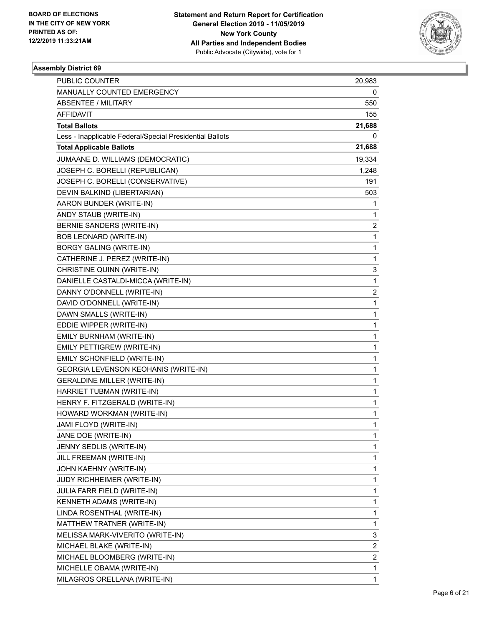

| PUBLIC COUNTER                                           | 20,983                  |
|----------------------------------------------------------|-------------------------|
| MANUALLY COUNTED EMERGENCY                               | 0                       |
| <b>ABSENTEE / MILITARY</b>                               | 550                     |
| AFFIDAVIT                                                | 155                     |
| <b>Total Ballots</b>                                     | 21,688                  |
| Less - Inapplicable Federal/Special Presidential Ballots | 0                       |
| <b>Total Applicable Ballots</b>                          | 21,688                  |
| JUMAANE D. WILLIAMS (DEMOCRATIC)                         | 19,334                  |
| JOSEPH C. BORELLI (REPUBLICAN)                           | 1,248                   |
| JOSEPH C. BORELLI (CONSERVATIVE)                         | 191                     |
| DEVIN BALKIND (LIBERTARIAN)                              | 503                     |
| AARON BUNDER (WRITE-IN)                                  | 1                       |
| ANDY STAUB (WRITE-IN)                                    | 1                       |
| BERNIE SANDERS (WRITE-IN)                                | $\overline{\mathbf{c}}$ |
| <b>BOB LEONARD (WRITE-IN)</b>                            | 1                       |
| <b>BORGY GALING (WRITE-IN)</b>                           | 1                       |
| CATHERINE J. PEREZ (WRITE-IN)                            | 1                       |
| CHRISTINE QUINN (WRITE-IN)                               | 3                       |
| DANIELLE CASTALDI-MICCA (WRITE-IN)                       | 1                       |
| DANNY O'DONNELL (WRITE-IN)                               | $\overline{\mathbf{c}}$ |
| DAVID O'DONNELL (WRITE-IN)                               | 1                       |
| DAWN SMALLS (WRITE-IN)                                   | 1                       |
| EDDIE WIPPER (WRITE-IN)                                  | 1                       |
| EMILY BURNHAM (WRITE-IN)                                 | 1                       |
| EMILY PETTIGREW (WRITE-IN)                               | 1                       |
| EMILY SCHONFIELD (WRITE-IN)                              | 1                       |
| GEORGIA LEVENSON KEOHANIS (WRITE-IN)                     | 1                       |
| <b>GERALDINE MILLER (WRITE-IN)</b>                       | 1                       |
| HARRIET TUBMAN (WRITE-IN)                                | 1                       |
| HENRY F. FITZGERALD (WRITE-IN)                           | 1                       |
| HOWARD WORKMAN (WRITE-IN)                                | 1                       |
| JAMI FLOYD (WRITE-IN)                                    | 1                       |
| JANE DOE (WRITE-IN)                                      | 1                       |
| JENNY SEDLIS (WRITE-IN)                                  | 1                       |
| JILL FREEMAN (WRITE-IN)                                  | 1                       |
| JOHN KAEHNY (WRITE-IN)                                   | 1                       |
| JUDY RICHHEIMER (WRITE-IN)                               | 1                       |
| JULIA FARR FIELD (WRITE-IN)                              | 1                       |
| KENNETH ADAMS (WRITE-IN)                                 | 1                       |
| LINDA ROSENTHAL (WRITE-IN)                               | 1                       |
| MATTHEW TRATNER (WRITE-IN)                               | 1                       |
| MELISSA MARK-VIVERITO (WRITE-IN)                         | 3                       |
| MICHAEL BLAKE (WRITE-IN)                                 | 2                       |
| MICHAEL BLOOMBERG (WRITE-IN)                             | $\overline{\mathbf{c}}$ |
| MICHELLE OBAMA (WRITE-IN)                                | 1                       |
| MILAGROS ORELLANA (WRITE-IN)                             | 1                       |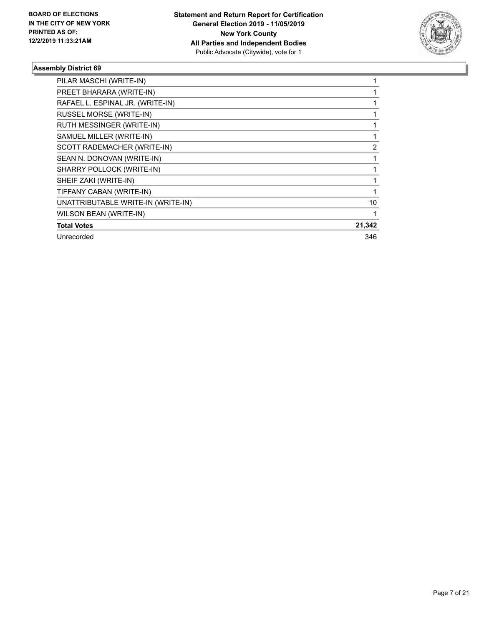

| PILAR MASCHI (WRITE-IN)            |        |
|------------------------------------|--------|
| PREET BHARARA (WRITE-IN)           |        |
| RAFAEL L. ESPINAL JR. (WRITE-IN)   |        |
| RUSSEL MORSE (WRITE-IN)            |        |
| RUTH MESSINGER (WRITE-IN)          |        |
| SAMUEL MILLER (WRITE-IN)           |        |
| SCOTT RADEMACHER (WRITE-IN)        | 2      |
| SEAN N. DONOVAN (WRITE-IN)         |        |
| SHARRY POLLOCK (WRITE-IN)          |        |
| SHEIF ZAKI (WRITE-IN)              |        |
| TIFFANY CABAN (WRITE-IN)           |        |
| UNATTRIBUTABLE WRITE-IN (WRITE-IN) | 10     |
| WILSON BEAN (WRITE-IN)             |        |
| <b>Total Votes</b>                 | 21,342 |
| Unrecorded                         | 346    |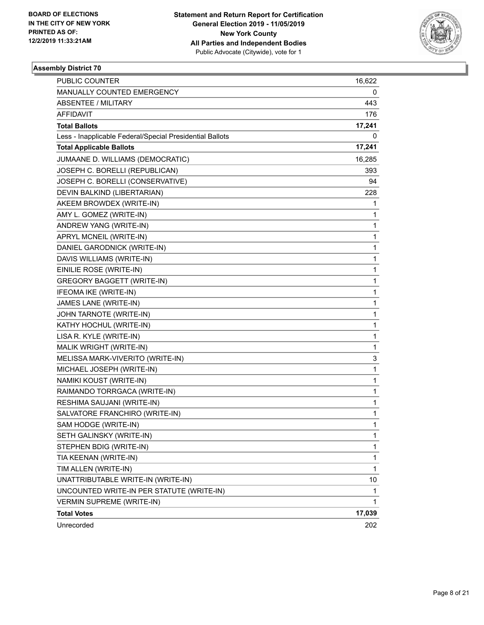

| PUBLIC COUNTER                                           | 16,622 |
|----------------------------------------------------------|--------|
| MANUALLY COUNTED EMERGENCY                               | 0      |
| <b>ABSENTEE / MILITARY</b>                               | 443    |
| AFFIDAVIT                                                | 176    |
| <b>Total Ballots</b>                                     | 17,241 |
| Less - Inapplicable Federal/Special Presidential Ballots | 0      |
| <b>Total Applicable Ballots</b>                          | 17,241 |
| JUMAANE D. WILLIAMS (DEMOCRATIC)                         | 16,285 |
| JOSEPH C. BORELLI (REPUBLICAN)                           | 393    |
| JOSEPH C. BORELLI (CONSERVATIVE)                         | 94     |
| DEVIN BALKIND (LIBERTARIAN)                              | 228    |
| AKEEM BROWDEX (WRITE-IN)                                 | 1      |
| AMY L. GOMEZ (WRITE-IN)                                  | 1      |
| ANDREW YANG (WRITE-IN)                                   | 1      |
| APRYL MCNEIL (WRITE-IN)                                  | 1      |
| DANIEL GARODNICK (WRITE-IN)                              | 1      |
| DAVIS WILLIAMS (WRITE-IN)                                | 1      |
| EINILIE ROSE (WRITE-IN)                                  | 1      |
| <b>GREGORY BAGGETT (WRITE-IN)</b>                        | 1      |
| IFEOMA IKE (WRITE-IN)                                    | 1      |
| JAMES LANE (WRITE-IN)                                    | 1      |
| JOHN TARNOTE (WRITE-IN)                                  | 1      |
| KATHY HOCHUL (WRITE-IN)                                  | 1      |
| LISA R. KYLE (WRITE-IN)                                  | 1      |
| MALIK WRIGHT (WRITE-IN)                                  | 1      |
| MELISSA MARK-VIVERITO (WRITE-IN)                         | 3      |
| MICHAEL JOSEPH (WRITE-IN)                                | 1      |
| NAMIKI KOUST (WRITE-IN)                                  | 1      |
| RAIMANDO TORRGACA (WRITE-IN)                             | 1      |
| RESHIMA SAUJANI (WRITE-IN)                               | 1      |
| SALVATORE FRANCHIRO (WRITE-IN)                           | 1      |
| SAM HODGE (WRITE-IN)                                     | 1      |
| SETH GALINSKY (WRITE-IN)                                 | 1      |
| STEPHEN BDIG (WRITE-IN)                                  | 1      |
| TIA KEENAN (WRITE-IN)                                    | 1      |
| TIM ALLEN (WRITE-IN)                                     | 1      |
| UNATTRIBUTABLE WRITE-IN (WRITE-IN)                       | 10     |
| UNCOUNTED WRITE-IN PER STATUTE (WRITE-IN)                | 1      |
| <b>VERMIN SUPREME (WRITE-IN)</b>                         | 1      |
| <b>Total Votes</b>                                       | 17,039 |
| Unrecorded                                               | 202    |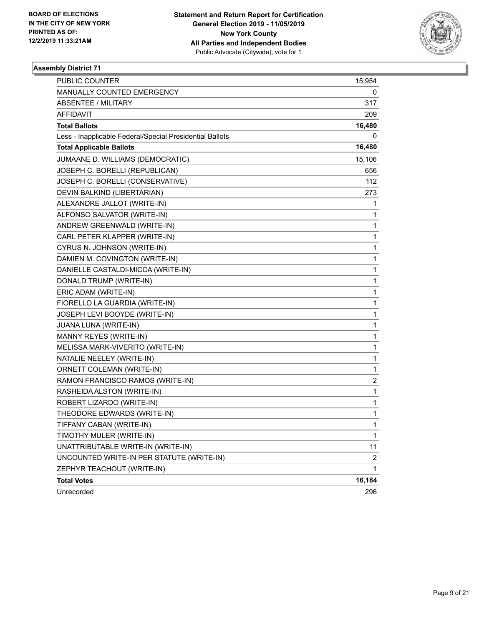

| PUBLIC COUNTER                                           | 15,954         |
|----------------------------------------------------------|----------------|
| MANUALLY COUNTED EMERGENCY                               | 0              |
| <b>ABSENTEE / MILITARY</b>                               | 317            |
| AFFIDAVIT                                                | 209            |
| <b>Total Ballots</b>                                     | 16,480         |
| Less - Inapplicable Federal/Special Presidential Ballots | 0              |
| <b>Total Applicable Ballots</b>                          | 16,480         |
| JUMAANE D. WILLIAMS (DEMOCRATIC)                         | 15,106         |
| JOSEPH C. BORELLI (REPUBLICAN)                           | 656            |
| JOSEPH C. BORELLI (CONSERVATIVE)                         | 112            |
| DEVIN BALKIND (LIBERTARIAN)                              | 273            |
| ALEXANDRE JALLOT (WRITE-IN)                              | 1              |
| ALFONSO SALVATOR (WRITE-IN)                              | 1              |
| ANDREW GREENWALD (WRITE-IN)                              | 1              |
| CARL PETER KLAPPER (WRITE-IN)                            | 1              |
| CYRUS N. JOHNSON (WRITE-IN)                              | $\mathbf 1$    |
| DAMIEN M. COVINGTON (WRITE-IN)                           | 1              |
| DANIELLE CASTALDI-MICCA (WRITE-IN)                       | 1              |
| DONALD TRUMP (WRITE-IN)                                  | $\mathbf 1$    |
| ERIC ADAM (WRITE-IN)                                     | $\mathbf 1$    |
| FIORELLO LA GUARDIA (WRITE-IN)                           | 1              |
| JOSEPH LEVI BOOYDE (WRITE-IN)                            | $\mathbf 1$    |
| JUANA LUNA (WRITE-IN)                                    | 1              |
| MANNY REYES (WRITE-IN)                                   | 1              |
| MELISSA MARK-VIVERITO (WRITE-IN)                         | $\mathbf 1$    |
| NATALIE NEELEY (WRITE-IN)                                | $\mathbf 1$    |
| ORNETT COLEMAN (WRITE-IN)                                | 1              |
| RAMON FRANCISCO RAMOS (WRITE-IN)                         | 2              |
| RASHEIDA ALSTON (WRITE-IN)                               | 1              |
| ROBERT LIZARDO (WRITE-IN)                                | 1              |
| THEODORE EDWARDS (WRITE-IN)                              | 1              |
| TIFFANY CABAN (WRITE-IN)                                 | $\mathbf{1}$   |
| TIMOTHY MULER (WRITE-IN)                                 | 1              |
| UNATTRIBUTABLE WRITE-IN (WRITE-IN)                       | 11             |
| UNCOUNTED WRITE-IN PER STATUTE (WRITE-IN)                | $\overline{c}$ |
| ZEPHYR TEACHOUT (WRITE-IN)                               | 1              |
| <b>Total Votes</b>                                       | 16,184         |
| Unrecorded                                               | 296            |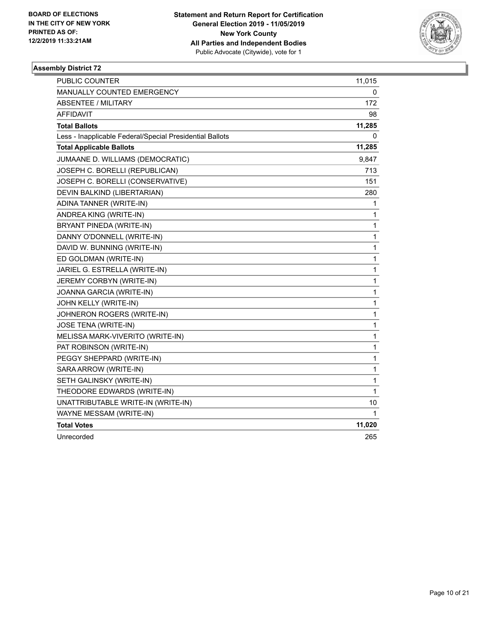

| PUBLIC COUNTER                                           | 11,015 |
|----------------------------------------------------------|--------|
| MANUALLY COUNTED EMERGENCY                               | 0      |
| <b>ABSENTEE / MILITARY</b>                               | 172    |
| AFFIDAVIT                                                | 98     |
| <b>Total Ballots</b>                                     | 11,285 |
| Less - Inapplicable Federal/Special Presidential Ballots | 0      |
| <b>Total Applicable Ballots</b>                          | 11,285 |
| JUMAANE D. WILLIAMS (DEMOCRATIC)                         | 9,847  |
| JOSEPH C. BORELLI (REPUBLICAN)                           | 713    |
| JOSEPH C. BORELLI (CONSERVATIVE)                         | 151    |
| DEVIN BALKIND (LIBERTARIAN)                              | 280    |
| ADINA TANNER (WRITE-IN)                                  | 1      |
| ANDREA KING (WRITE-IN)                                   | 1      |
| BRYANT PINEDA (WRITE-IN)                                 | 1      |
| DANNY O'DONNELL (WRITE-IN)                               | 1      |
| DAVID W. BUNNING (WRITE-IN)                              | 1      |
| ED GOLDMAN (WRITE-IN)                                    | 1      |
| JARIEL G. ESTRELLA (WRITE-IN)                            | 1      |
| JEREMY CORBYN (WRITE-IN)                                 | 1      |
| JOANNA GARCIA (WRITE-IN)                                 | 1      |
| JOHN KELLY (WRITE-IN)                                    | 1      |
| JOHNERON ROGERS (WRITE-IN)                               | 1      |
| JOSE TENA (WRITE-IN)                                     | 1      |
| MELISSA MARK-VIVERITO (WRITE-IN)                         | 1      |
| PAT ROBINSON (WRITE-IN)                                  | 1      |
| PEGGY SHEPPARD (WRITE-IN)                                | 1      |
| SARA ARROW (WRITE-IN)                                    | 1      |
| SETH GALINSKY (WRITE-IN)                                 | 1      |
| THEODORE EDWARDS (WRITE-IN)                              | 1      |
| UNATTRIBUTABLE WRITE-IN (WRITE-IN)                       | 10     |
| WAYNE MESSAM (WRITE-IN)                                  | 1      |
| <b>Total Votes</b>                                       | 11,020 |
| Unrecorded                                               | 265    |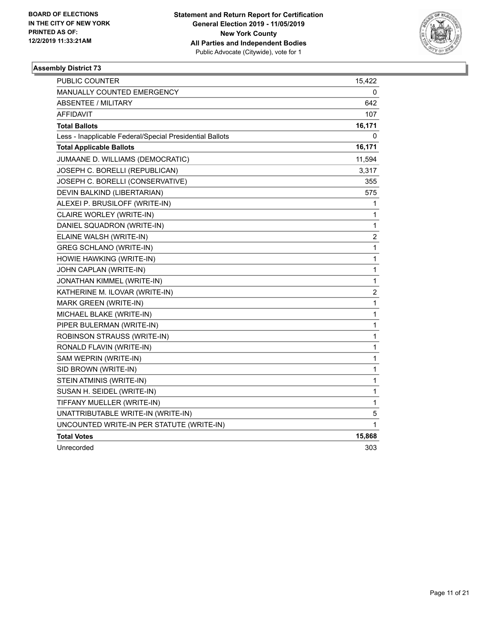

| <b>PUBLIC COUNTER</b>                                    | 15,422         |
|----------------------------------------------------------|----------------|
| MANUALLY COUNTED EMERGENCY                               | 0              |
| <b>ABSENTEE / MILITARY</b>                               | 642            |
| <b>AFFIDAVIT</b>                                         | 107            |
| <b>Total Ballots</b>                                     | 16,171         |
| Less - Inapplicable Federal/Special Presidential Ballots | 0              |
| <b>Total Applicable Ballots</b>                          | 16,171         |
| JUMAANE D. WILLIAMS (DEMOCRATIC)                         | 11,594         |
| JOSEPH C. BORELLI (REPUBLICAN)                           | 3,317          |
| JOSEPH C. BORELLI (CONSERVATIVE)                         | 355            |
| DEVIN BALKIND (LIBERTARIAN)                              | 575            |
| ALEXEI P. BRUSILOFF (WRITE-IN)                           | 1              |
| CLAIRE WORLEY (WRITE-IN)                                 | 1              |
| DANIEL SQUADRON (WRITE-IN)                               | $\mathbf{1}$   |
| ELAINE WALSH (WRITE-IN)                                  | $\overline{c}$ |
| <b>GREG SCHLANO (WRITE-IN)</b>                           | 1              |
| HOWIE HAWKING (WRITE-IN)                                 | 1              |
| JOHN CAPLAN (WRITE-IN)                                   | 1              |
| JONATHAN KIMMEL (WRITE-IN)                               | $\mathbf{1}$   |
| KATHERINE M. ILOVAR (WRITE-IN)                           | $\overline{c}$ |
| <b>MARK GREEN (WRITE-IN)</b>                             | 1              |
| MICHAEL BLAKE (WRITE-IN)                                 | 1              |
| PIPER BULERMAN (WRITE-IN)                                | $\mathbf{1}$   |
| ROBINSON STRAUSS (WRITE-IN)                              | 1              |
| RONALD FLAVIN (WRITE-IN)                                 | 1              |
| SAM WEPRIN (WRITE-IN)                                    | 1              |
| SID BROWN (WRITE-IN)                                     | 1              |
| STEIN ATMINIS (WRITE-IN)                                 | 1              |
| SUSAN H. SEIDEL (WRITE-IN)                               | 1              |
| TIFFANY MUELLER (WRITE-IN)                               | 1              |
| UNATTRIBUTABLE WRITE-IN (WRITE-IN)                       | 5              |
| UNCOUNTED WRITE-IN PER STATUTE (WRITE-IN)                | 1              |
| <b>Total Votes</b>                                       | 15,868         |
| Unrecorded                                               | 303            |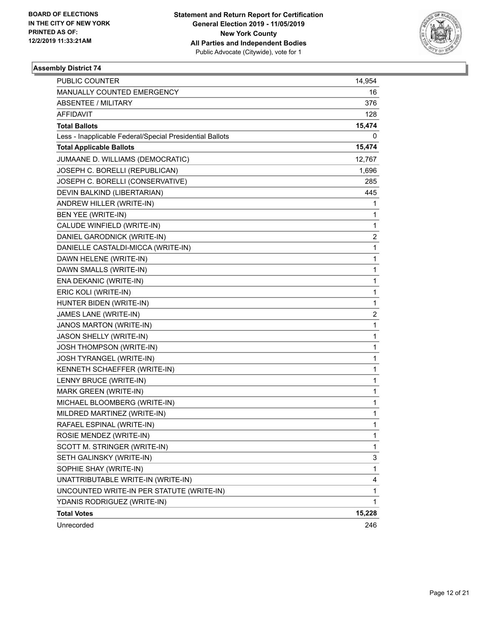

| PUBLIC COUNTER                                           | 14,954 |
|----------------------------------------------------------|--------|
| MANUALLY COUNTED EMERGENCY                               | 16     |
| <b>ABSENTEE / MILITARY</b>                               | 376    |
| AFFIDAVIT                                                | 128    |
| <b>Total Ballots</b>                                     | 15,474 |
| Less - Inapplicable Federal/Special Presidential Ballots | 0      |
| <b>Total Applicable Ballots</b>                          | 15,474 |
| JUMAANE D. WILLIAMS (DEMOCRATIC)                         | 12,767 |
| JOSEPH C. BORELLI (REPUBLICAN)                           | 1,696  |
| JOSEPH C. BORELLI (CONSERVATIVE)                         | 285    |
| DEVIN BALKIND (LIBERTARIAN)                              | 445    |
| ANDREW HILLER (WRITE-IN)                                 | 1      |
| BEN YEE (WRITE-IN)                                       | 1      |
| CALUDE WINFIELD (WRITE-IN)                               | 1      |
| DANIEL GARODNICK (WRITE-IN)                              | 2      |
| DANIELLE CASTALDI-MICCA (WRITE-IN)                       | 1      |
| DAWN HELENE (WRITE-IN)                                   | 1      |
| DAWN SMALLS (WRITE-IN)                                   | 1      |
| ENA DEKANIC (WRITE-IN)                                   | 1      |
| ERIC KOLI (WRITE-IN)                                     | 1      |
| HUNTER BIDEN (WRITE-IN)                                  | 1      |
| JAMES LANE (WRITE-IN)                                    | 2      |
| JANOS MARTON (WRITE-IN)                                  | 1      |
| JASON SHELLY (WRITE-IN)                                  | 1      |
| JOSH THOMPSON (WRITE-IN)                                 | 1      |
| JOSH TYRANGEL (WRITE-IN)                                 | 1      |
| KENNETH SCHAEFFER (WRITE-IN)                             | 1      |
| LENNY BRUCE (WRITE-IN)                                   | 1      |
| MARK GREEN (WRITE-IN)                                    | 1      |
| MICHAEL BLOOMBERG (WRITE-IN)                             | 1      |
| MILDRED MARTINEZ (WRITE-IN)                              | 1      |
| RAFAEL ESPINAL (WRITE-IN)                                | 1      |
| ROSIE MENDEZ (WRITE-IN)                                  | 1      |
| SCOTT M. STRINGER (WRITE-IN)                             | 1      |
| SETH GALINSKY (WRITE-IN)                                 | 3      |
| SOPHIE SHAY (WRITE-IN)                                   | 1      |
| UNATTRIBUTABLE WRITE-IN (WRITE-IN)                       | 4      |
| UNCOUNTED WRITE-IN PER STATUTE (WRITE-IN)                | 1      |
| YDANIS RODRIGUEZ (WRITE-IN)                              | 1      |
| <b>Total Votes</b>                                       | 15,228 |
| Unrecorded                                               | 246    |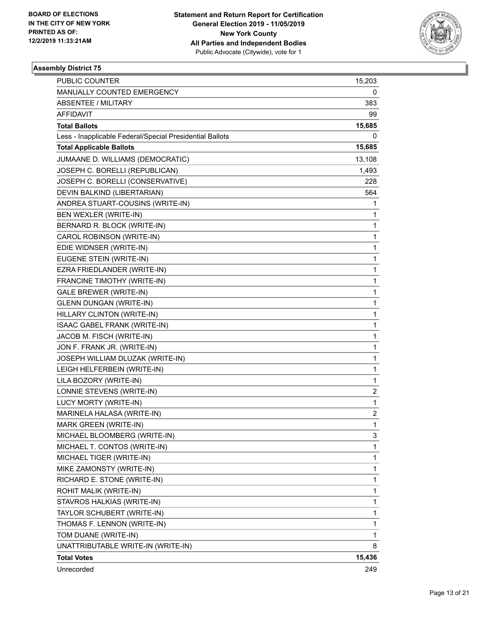

| <b>PUBLIC COUNTER</b>                                    | 15,203       |
|----------------------------------------------------------|--------------|
| MANUALLY COUNTED EMERGENCY                               | 0            |
| <b>ABSENTEE / MILITARY</b>                               | 383          |
| <b>AFFIDAVIT</b>                                         | 99           |
| <b>Total Ballots</b>                                     | 15,685       |
| Less - Inapplicable Federal/Special Presidential Ballots | 0            |
| <b>Total Applicable Ballots</b>                          | 15,685       |
| JUMAANE D. WILLIAMS (DEMOCRATIC)                         | 13,108       |
| JOSEPH C. BORELLI (REPUBLICAN)                           | 1,493        |
| JOSEPH C. BORELLI (CONSERVATIVE)                         | 228          |
| DEVIN BALKIND (LIBERTARIAN)                              | 564          |
| ANDREA STUART-COUSINS (WRITE-IN)                         | 1            |
| BEN WEXLER (WRITE-IN)                                    | 1            |
| BERNARD R. BLOCK (WRITE-IN)                              | 1            |
| CAROL ROBINSON (WRITE-IN)                                | 1            |
| EDIE WIDNSER (WRITE-IN)                                  | 1            |
| EUGENE STEIN (WRITE-IN)                                  | 1            |
| EZRA FRIEDLANDER (WRITE-IN)                              | 1            |
| FRANCINE TIMOTHY (WRITE-IN)                              | 1            |
| <b>GALE BREWER (WRITE-IN)</b>                            | 1            |
| <b>GLENN DUNGAN (WRITE-IN)</b>                           | 1            |
| HILLARY CLINTON (WRITE-IN)                               | 1            |
| ISAAC GABEL FRANK (WRITE-IN)                             | 1            |
| JACOB M. FISCH (WRITE-IN)                                | 1            |
| JON F. FRANK JR. (WRITE-IN)                              | 1            |
| JOSEPH WILLIAM DLUZAK (WRITE-IN)                         | 1            |
| LEIGH HELFERBEIN (WRITE-IN)                              | 1            |
| LILA BOZORY (WRITE-IN)                                   | 1            |
| LONNIE STEVENS (WRITE-IN)                                | 2            |
| LUCY MORTY (WRITE-IN)                                    | $\mathbf{1}$ |
| MARINELA HALASA (WRITE-IN)                               | 2            |
| MARK GREEN (WRITE-IN)                                    | 1            |
| MICHAEL BLOOMBERG (WRITE-IN)                             | 3            |
| MICHAEL T. CONTOS (WRITE-IN)                             | 1            |
| MICHAEL TIGER (WRITE-IN)                                 | 1            |
| MIKE ZAMONSTY (WRITE-IN)                                 | 1            |
| RICHARD E. STONE (WRITE-IN)                              | 1            |
| ROHIT MALIK (WRITE-IN)                                   | 1            |
| STAVROS HALKIAS (WRITE-IN)                               | 1            |
| TAYLOR SCHUBERT (WRITE-IN)                               | 1            |
| THOMAS F. LENNON (WRITE-IN)                              | 1            |
| TOM DUANE (WRITE-IN)                                     | 1            |
| UNATTRIBUTABLE WRITE-IN (WRITE-IN)                       | 8            |
| <b>Total Votes</b>                                       | 15,436       |
| Unrecorded                                               | 249          |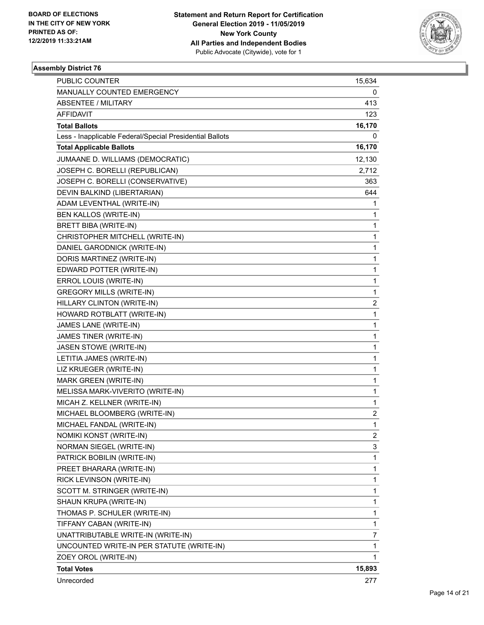

| PUBLIC COUNTER                                           | 15,634                  |
|----------------------------------------------------------|-------------------------|
| MANUALLY COUNTED EMERGENCY                               | 0                       |
| <b>ABSENTEE / MILITARY</b>                               | 413                     |
| AFFIDAVIT                                                | 123                     |
| <b>Total Ballots</b>                                     | 16,170                  |
| Less - Inapplicable Federal/Special Presidential Ballots | 0                       |
| <b>Total Applicable Ballots</b>                          | 16,170                  |
| JUMAANE D. WILLIAMS (DEMOCRATIC)                         | 12,130                  |
| JOSEPH C. BORELLI (REPUBLICAN)                           | 2,712                   |
| JOSEPH C. BORELLI (CONSERVATIVE)                         | 363                     |
| DEVIN BALKIND (LIBERTARIAN)                              | 644                     |
| ADAM LEVENTHAL (WRITE-IN)                                | 1                       |
| BEN KALLOS (WRITE-IN)                                    | 1                       |
| BRETT BIBA (WRITE-IN)                                    | 1                       |
| CHRISTOPHER MITCHELL (WRITE-IN)                          | 1                       |
| DANIEL GARODNICK (WRITE-IN)                              | 1                       |
| DORIS MARTINEZ (WRITE-IN)                                | 1                       |
| EDWARD POTTER (WRITE-IN)                                 | 1                       |
| ERROL LOUIS (WRITE-IN)                                   | 1                       |
| <b>GREGORY MILLS (WRITE-IN)</b>                          | 1                       |
| HILLARY CLINTON (WRITE-IN)                               | $\overline{\mathbf{c}}$ |
| HOWARD ROTBLATT (WRITE-IN)                               | 1                       |
| JAMES LANE (WRITE-IN)                                    | 1                       |
| JAMES TINER (WRITE-IN)                                   | 1                       |
| JASEN STOWE (WRITE-IN)                                   | 1                       |
| LETITIA JAMES (WRITE-IN)                                 | 1                       |
| LIZ KRUEGER (WRITE-IN)                                   | 1                       |
| MARK GREEN (WRITE-IN)                                    | 1                       |
| MELISSA MARK-VIVERITO (WRITE-IN)                         | 1                       |
| MICAH Z. KELLNER (WRITE-IN)                              | 1                       |
| MICHAEL BLOOMBERG (WRITE-IN)                             | 2                       |
| MICHAEL FANDAL (WRITE-IN)                                | 1                       |
| NOMIKI KONST (WRITE-IN)                                  | $\overline{c}$          |
| NORMAN SIEGEL (WRITE-IN)                                 | 3                       |
| PATRICK BOBILIN (WRITE-IN)                               | 1                       |
| PREET BHARARA (WRITE-IN)                                 | 1                       |
| RICK LEVINSON (WRITE-IN)                                 | 1                       |
| SCOTT M. STRINGER (WRITE-IN)                             | 1                       |
| SHAUN KRUPA (WRITE-IN)                                   | 1                       |
| THOMAS P. SCHULER (WRITE-IN)                             | 1                       |
| TIFFANY CABAN (WRITE-IN)                                 | 1                       |
| UNATTRIBUTABLE WRITE-IN (WRITE-IN)                       | 7                       |
| UNCOUNTED WRITE-IN PER STATUTE (WRITE-IN)                | 1                       |
| ZOEY OROL (WRITE-IN)                                     | 1                       |
| <b>Total Votes</b>                                       | 15,893                  |
| Unrecorded                                               | 277                     |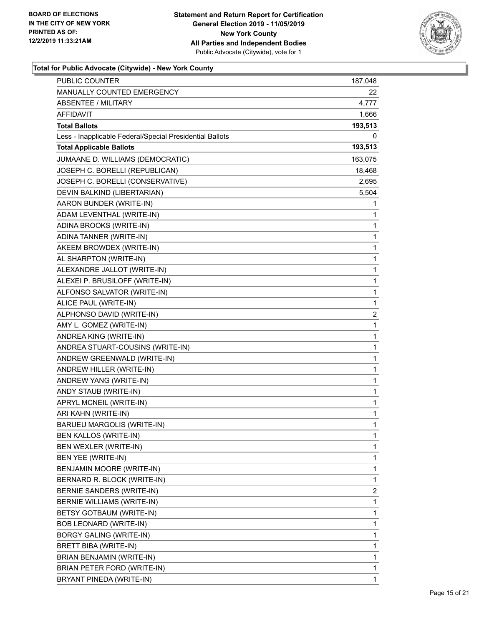

| MANUALLY COUNTED EMERGENCY<br>22.<br><b>ABSENTEE / MILITARY</b><br>4,777<br>AFFIDAVIT<br>1,666<br><b>Total Ballots</b><br>193,513<br>Less - Inapplicable Federal/Special Presidential Ballots<br>0<br><b>Total Applicable Ballots</b><br>193,513<br>JUMAANE D. WILLIAMS (DEMOCRATIC)<br>163,075<br>JOSEPH C. BORELLI (REPUBLICAN)<br>18,468<br>JOSEPH C. BORELLI (CONSERVATIVE)<br>2,695<br>5,504<br>DEVIN BALKIND (LIBERTARIAN)<br>AARON BUNDER (WRITE-IN)<br>1<br>ADAM LEVENTHAL (WRITE-IN)<br>1<br>ADINA BROOKS (WRITE-IN)<br>1<br>ADINA TANNER (WRITE-IN)<br>1<br>AKEEM BROWDEX (WRITE-IN)<br>1<br>AL SHARPTON (WRITE-IN)<br>1<br>ALEXANDRE JALLOT (WRITE-IN)<br>1<br>ALEXEI P. BRUSILOFF (WRITE-IN)<br>1<br>ALFONSO SALVATOR (WRITE-IN)<br>1<br>$\mathbf 1$<br>ALICE PAUL (WRITE-IN)<br>2<br>ALPHONSO DAVID (WRITE-IN)<br>AMY L. GOMEZ (WRITE-IN)<br>1<br>ANDREA KING (WRITE-IN)<br>1<br>ANDREA STUART-COUSINS (WRITE-IN)<br>1<br>ANDREW GREENWALD (WRITE-IN)<br>1<br>ANDREW HILLER (WRITE-IN)<br>1<br>ANDREW YANG (WRITE-IN)<br>1<br>ANDY STAUB (WRITE-IN)<br>1<br>APRYL MCNEIL (WRITE-IN)<br>1<br>ARI KAHN (WRITE-IN)<br>1<br>BARUEU MARGOLIS (WRITE-IN)<br>1<br>BEN KALLOS (WRITE-IN)<br>1<br>BEN WEXLER (WRITE-IN)<br>1<br>BEN YEE (WRITE-IN)<br>1<br>BENJAMIN MOORE (WRITE-IN)<br>1<br>BERNARD R. BLOCK (WRITE-IN)<br>1<br>BERNIE SANDERS (WRITE-IN)<br>2<br>1<br>BERNIE WILLIAMS (WRITE-IN)<br>BETSY GOTBAUM (WRITE-IN)<br>1<br>BOB LEONARD (WRITE-IN)<br>1<br>1<br>BORGY GALING (WRITE-IN) |
|--------------------------------------------------------------------------------------------------------------------------------------------------------------------------------------------------------------------------------------------------------------------------------------------------------------------------------------------------------------------------------------------------------------------------------------------------------------------------------------------------------------------------------------------------------------------------------------------------------------------------------------------------------------------------------------------------------------------------------------------------------------------------------------------------------------------------------------------------------------------------------------------------------------------------------------------------------------------------------------------------------------------------------------------------------------------------------------------------------------------------------------------------------------------------------------------------------------------------------------------------------------------------------------------------------------------------------------------------------------------------------------------------------------------------------------------------------------------------------------------------------|
|                                                                                                                                                                                                                                                                                                                                                                                                                                                                                                                                                                                                                                                                                                                                                                                                                                                                                                                                                                                                                                                                                                                                                                                                                                                                                                                                                                                                                                                                                                        |
|                                                                                                                                                                                                                                                                                                                                                                                                                                                                                                                                                                                                                                                                                                                                                                                                                                                                                                                                                                                                                                                                                                                                                                                                                                                                                                                                                                                                                                                                                                        |
|                                                                                                                                                                                                                                                                                                                                                                                                                                                                                                                                                                                                                                                                                                                                                                                                                                                                                                                                                                                                                                                                                                                                                                                                                                                                                                                                                                                                                                                                                                        |
|                                                                                                                                                                                                                                                                                                                                                                                                                                                                                                                                                                                                                                                                                                                                                                                                                                                                                                                                                                                                                                                                                                                                                                                                                                                                                                                                                                                                                                                                                                        |
|                                                                                                                                                                                                                                                                                                                                                                                                                                                                                                                                                                                                                                                                                                                                                                                                                                                                                                                                                                                                                                                                                                                                                                                                                                                                                                                                                                                                                                                                                                        |
|                                                                                                                                                                                                                                                                                                                                                                                                                                                                                                                                                                                                                                                                                                                                                                                                                                                                                                                                                                                                                                                                                                                                                                                                                                                                                                                                                                                                                                                                                                        |
|                                                                                                                                                                                                                                                                                                                                                                                                                                                                                                                                                                                                                                                                                                                                                                                                                                                                                                                                                                                                                                                                                                                                                                                                                                                                                                                                                                                                                                                                                                        |
|                                                                                                                                                                                                                                                                                                                                                                                                                                                                                                                                                                                                                                                                                                                                                                                                                                                                                                                                                                                                                                                                                                                                                                                                                                                                                                                                                                                                                                                                                                        |
|                                                                                                                                                                                                                                                                                                                                                                                                                                                                                                                                                                                                                                                                                                                                                                                                                                                                                                                                                                                                                                                                                                                                                                                                                                                                                                                                                                                                                                                                                                        |
|                                                                                                                                                                                                                                                                                                                                                                                                                                                                                                                                                                                                                                                                                                                                                                                                                                                                                                                                                                                                                                                                                                                                                                                                                                                                                                                                                                                                                                                                                                        |
|                                                                                                                                                                                                                                                                                                                                                                                                                                                                                                                                                                                                                                                                                                                                                                                                                                                                                                                                                                                                                                                                                                                                                                                                                                                                                                                                                                                                                                                                                                        |
|                                                                                                                                                                                                                                                                                                                                                                                                                                                                                                                                                                                                                                                                                                                                                                                                                                                                                                                                                                                                                                                                                                                                                                                                                                                                                                                                                                                                                                                                                                        |
|                                                                                                                                                                                                                                                                                                                                                                                                                                                                                                                                                                                                                                                                                                                                                                                                                                                                                                                                                                                                                                                                                                                                                                                                                                                                                                                                                                                                                                                                                                        |
|                                                                                                                                                                                                                                                                                                                                                                                                                                                                                                                                                                                                                                                                                                                                                                                                                                                                                                                                                                                                                                                                                                                                                                                                                                                                                                                                                                                                                                                                                                        |
|                                                                                                                                                                                                                                                                                                                                                                                                                                                                                                                                                                                                                                                                                                                                                                                                                                                                                                                                                                                                                                                                                                                                                                                                                                                                                                                                                                                                                                                                                                        |
|                                                                                                                                                                                                                                                                                                                                                                                                                                                                                                                                                                                                                                                                                                                                                                                                                                                                                                                                                                                                                                                                                                                                                                                                                                                                                                                                                                                                                                                                                                        |
|                                                                                                                                                                                                                                                                                                                                                                                                                                                                                                                                                                                                                                                                                                                                                                                                                                                                                                                                                                                                                                                                                                                                                                                                                                                                                                                                                                                                                                                                                                        |
|                                                                                                                                                                                                                                                                                                                                                                                                                                                                                                                                                                                                                                                                                                                                                                                                                                                                                                                                                                                                                                                                                                                                                                                                                                                                                                                                                                                                                                                                                                        |
|                                                                                                                                                                                                                                                                                                                                                                                                                                                                                                                                                                                                                                                                                                                                                                                                                                                                                                                                                                                                                                                                                                                                                                                                                                                                                                                                                                                                                                                                                                        |
|                                                                                                                                                                                                                                                                                                                                                                                                                                                                                                                                                                                                                                                                                                                                                                                                                                                                                                                                                                                                                                                                                                                                                                                                                                                                                                                                                                                                                                                                                                        |
|                                                                                                                                                                                                                                                                                                                                                                                                                                                                                                                                                                                                                                                                                                                                                                                                                                                                                                                                                                                                                                                                                                                                                                                                                                                                                                                                                                                                                                                                                                        |
|                                                                                                                                                                                                                                                                                                                                                                                                                                                                                                                                                                                                                                                                                                                                                                                                                                                                                                                                                                                                                                                                                                                                                                                                                                                                                                                                                                                                                                                                                                        |
|                                                                                                                                                                                                                                                                                                                                                                                                                                                                                                                                                                                                                                                                                                                                                                                                                                                                                                                                                                                                                                                                                                                                                                                                                                                                                                                                                                                                                                                                                                        |
|                                                                                                                                                                                                                                                                                                                                                                                                                                                                                                                                                                                                                                                                                                                                                                                                                                                                                                                                                                                                                                                                                                                                                                                                                                                                                                                                                                                                                                                                                                        |
|                                                                                                                                                                                                                                                                                                                                                                                                                                                                                                                                                                                                                                                                                                                                                                                                                                                                                                                                                                                                                                                                                                                                                                                                                                                                                                                                                                                                                                                                                                        |
|                                                                                                                                                                                                                                                                                                                                                                                                                                                                                                                                                                                                                                                                                                                                                                                                                                                                                                                                                                                                                                                                                                                                                                                                                                                                                                                                                                                                                                                                                                        |
|                                                                                                                                                                                                                                                                                                                                                                                                                                                                                                                                                                                                                                                                                                                                                                                                                                                                                                                                                                                                                                                                                                                                                                                                                                                                                                                                                                                                                                                                                                        |
|                                                                                                                                                                                                                                                                                                                                                                                                                                                                                                                                                                                                                                                                                                                                                                                                                                                                                                                                                                                                                                                                                                                                                                                                                                                                                                                                                                                                                                                                                                        |
|                                                                                                                                                                                                                                                                                                                                                                                                                                                                                                                                                                                                                                                                                                                                                                                                                                                                                                                                                                                                                                                                                                                                                                                                                                                                                                                                                                                                                                                                                                        |
|                                                                                                                                                                                                                                                                                                                                                                                                                                                                                                                                                                                                                                                                                                                                                                                                                                                                                                                                                                                                                                                                                                                                                                                                                                                                                                                                                                                                                                                                                                        |
|                                                                                                                                                                                                                                                                                                                                                                                                                                                                                                                                                                                                                                                                                                                                                                                                                                                                                                                                                                                                                                                                                                                                                                                                                                                                                                                                                                                                                                                                                                        |
|                                                                                                                                                                                                                                                                                                                                                                                                                                                                                                                                                                                                                                                                                                                                                                                                                                                                                                                                                                                                                                                                                                                                                                                                                                                                                                                                                                                                                                                                                                        |
|                                                                                                                                                                                                                                                                                                                                                                                                                                                                                                                                                                                                                                                                                                                                                                                                                                                                                                                                                                                                                                                                                                                                                                                                                                                                                                                                                                                                                                                                                                        |
|                                                                                                                                                                                                                                                                                                                                                                                                                                                                                                                                                                                                                                                                                                                                                                                                                                                                                                                                                                                                                                                                                                                                                                                                                                                                                                                                                                                                                                                                                                        |
|                                                                                                                                                                                                                                                                                                                                                                                                                                                                                                                                                                                                                                                                                                                                                                                                                                                                                                                                                                                                                                                                                                                                                                                                                                                                                                                                                                                                                                                                                                        |
|                                                                                                                                                                                                                                                                                                                                                                                                                                                                                                                                                                                                                                                                                                                                                                                                                                                                                                                                                                                                                                                                                                                                                                                                                                                                                                                                                                                                                                                                                                        |
|                                                                                                                                                                                                                                                                                                                                                                                                                                                                                                                                                                                                                                                                                                                                                                                                                                                                                                                                                                                                                                                                                                                                                                                                                                                                                                                                                                                                                                                                                                        |
|                                                                                                                                                                                                                                                                                                                                                                                                                                                                                                                                                                                                                                                                                                                                                                                                                                                                                                                                                                                                                                                                                                                                                                                                                                                                                                                                                                                                                                                                                                        |
|                                                                                                                                                                                                                                                                                                                                                                                                                                                                                                                                                                                                                                                                                                                                                                                                                                                                                                                                                                                                                                                                                                                                                                                                                                                                                                                                                                                                                                                                                                        |
|                                                                                                                                                                                                                                                                                                                                                                                                                                                                                                                                                                                                                                                                                                                                                                                                                                                                                                                                                                                                                                                                                                                                                                                                                                                                                                                                                                                                                                                                                                        |
|                                                                                                                                                                                                                                                                                                                                                                                                                                                                                                                                                                                                                                                                                                                                                                                                                                                                                                                                                                                                                                                                                                                                                                                                                                                                                                                                                                                                                                                                                                        |
| BRETT BIBA (WRITE-IN)<br>1                                                                                                                                                                                                                                                                                                                                                                                                                                                                                                                                                                                                                                                                                                                                                                                                                                                                                                                                                                                                                                                                                                                                                                                                                                                                                                                                                                                                                                                                             |
| BRIAN BENJAMIN (WRITE-IN)<br>1                                                                                                                                                                                                                                                                                                                                                                                                                                                                                                                                                                                                                                                                                                                                                                                                                                                                                                                                                                                                                                                                                                                                                                                                                                                                                                                                                                                                                                                                         |
| BRIAN PETER FORD (WRITE-IN)<br>1                                                                                                                                                                                                                                                                                                                                                                                                                                                                                                                                                                                                                                                                                                                                                                                                                                                                                                                                                                                                                                                                                                                                                                                                                                                                                                                                                                                                                                                                       |
| BRYANT PINEDA (WRITE-IN)<br>1                                                                                                                                                                                                                                                                                                                                                                                                                                                                                                                                                                                                                                                                                                                                                                                                                                                                                                                                                                                                                                                                                                                                                                                                                                                                                                                                                                                                                                                                          |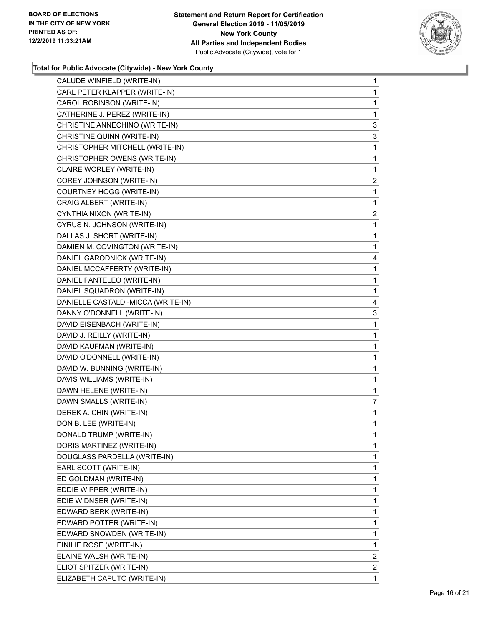

| CALUDE WINFIELD (WRITE-IN)         | 1              |
|------------------------------------|----------------|
| CARL PETER KLAPPER (WRITE-IN)      | 1              |
| CAROL ROBINSON (WRITE-IN)          | 1              |
| CATHERINE J. PEREZ (WRITE-IN)      | 1              |
| CHRISTINE ANNECHINO (WRITE-IN)     | 3              |
| CHRISTINE QUINN (WRITE-IN)         | 3              |
| CHRISTOPHER MITCHELL (WRITE-IN)    | 1              |
| CHRISTOPHER OWENS (WRITE-IN)       | 1              |
| CLAIRE WORLEY (WRITE-IN)           | 1              |
| COREY JOHNSON (WRITE-IN)           | $\overline{2}$ |
| COURTNEY HOGG (WRITE-IN)           | 1              |
| CRAIG ALBERT (WRITE-IN)            | 1              |
| CYNTHIA NIXON (WRITE-IN)           | $\overline{2}$ |
| CYRUS N. JOHNSON (WRITE-IN)        | 1              |
| DALLAS J. SHORT (WRITE-IN)         | 1              |
| DAMIEN M. COVINGTON (WRITE-IN)     | 1              |
| DANIEL GARODNICK (WRITE-IN)        | 4              |
| DANIEL MCCAFFERTY (WRITE-IN)       | 1              |
| DANIEL PANTELEO (WRITE-IN)         | 1              |
| DANIEL SQUADRON (WRITE-IN)         | 1              |
| DANIELLE CASTALDI-MICCA (WRITE-IN) | 4              |
| DANNY O'DONNELL (WRITE-IN)         | 3              |
| DAVID EISENBACH (WRITE-IN)         | 1              |
| DAVID J. REILLY (WRITE-IN)         | $\mathbf{1}$   |
| DAVID KAUFMAN (WRITE-IN)           | 1              |
| DAVID O'DONNELL (WRITE-IN)         | 1              |
| DAVID W. BUNNING (WRITE-IN)        | $\mathbf{1}$   |
| DAVIS WILLIAMS (WRITE-IN)          | 1              |
| DAWN HELENE (WRITE-IN)             | 1              |
| DAWN SMALLS (WRITE-IN)             | 7              |
| DEREK A. CHIN (WRITE-IN)           | 1              |
| DON B. LEE (WRITE-IN)              | 1              |
| DONALD TRUMP (WRITE-IN)            | 1              |
| DORIS MARTINEZ (WRITE-IN)          | 1              |
| DOUGLASS PARDELLA (WRITE-IN)       | 1              |
| EARL SCOTT (WRITE-IN)              | 1              |
| ED GOLDMAN (WRITE-IN)              | 1              |
| EDDIE WIPPER (WRITE-IN)            | 1              |
| EDIE WIDNSER (WRITE-IN)            | 1              |
| EDWARD BERK (WRITE-IN)             | 1              |
| EDWARD POTTER (WRITE-IN)           | 1              |
| EDWARD SNOWDEN (WRITE-IN)          | 1              |
| EINILIE ROSE (WRITE-IN)            | 1              |
| ELAINE WALSH (WRITE-IN)            | 2              |
| ELIOT SPITZER (WRITE-IN)           | $\overline{2}$ |
| ELIZABETH CAPUTO (WRITE-IN)        | 1              |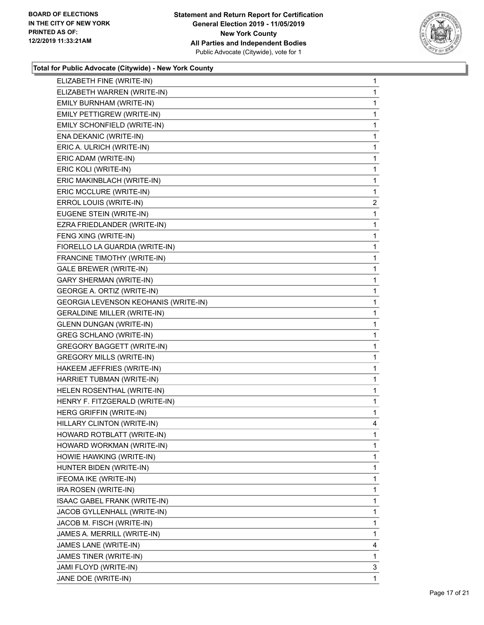

| ELIZABETH FINE (WRITE-IN)            | $\mathbf{1}$ |
|--------------------------------------|--------------|
| ELIZABETH WARREN (WRITE-IN)          | 1            |
| EMILY BURNHAM (WRITE-IN)             | 1            |
| EMILY PETTIGREW (WRITE-IN)           | $\mathbf{1}$ |
| EMILY SCHONFIELD (WRITE-IN)          | 1            |
| ENA DEKANIC (WRITE-IN)               | 1            |
| ERIC A. ULRICH (WRITE-IN)            | 1            |
| ERIC ADAM (WRITE-IN)                 | $\mathbf{1}$ |
| ERIC KOLI (WRITE-IN)                 | 1            |
| ERIC MAKINBLACH (WRITE-IN)           | $\mathbf{1}$ |
| ERIC MCCLURE (WRITE-IN)              | 1            |
| ERROL LOUIS (WRITE-IN)               | 2            |
| EUGENE STEIN (WRITE-IN)              | $\mathbf{1}$ |
| EZRA FRIEDLANDER (WRITE-IN)          | 1            |
| FENG XING (WRITE-IN)                 | 1            |
| FIORELLO LA GUARDIA (WRITE-IN)       | $\mathbf{1}$ |
| FRANCINE TIMOTHY (WRITE-IN)          | 1            |
| <b>GALE BREWER (WRITE-IN)</b>        | 1            |
| <b>GARY SHERMAN (WRITE-IN)</b>       | 1            |
| GEORGE A. ORTIZ (WRITE-IN)           | 1            |
| GEORGIA LEVENSON KEOHANIS (WRITE-IN) | 1            |
| <b>GERALDINE MILLER (WRITE-IN)</b>   | $\mathbf{1}$ |
| <b>GLENN DUNGAN (WRITE-IN)</b>       | 1            |
| <b>GREG SCHLANO (WRITE-IN)</b>       | 1            |
| <b>GREGORY BAGGETT (WRITE-IN)</b>    | 1            |
| <b>GREGORY MILLS (WRITE-IN)</b>      | 1            |
| HAKEEM JEFFRIES (WRITE-IN)           | 1            |
| HARRIET TUBMAN (WRITE-IN)            | $\mathbf{1}$ |
| HELEN ROSENTHAL (WRITE-IN)           | 1            |
| HENRY F. FITZGERALD (WRITE-IN)       | 1            |
| HERG GRIFFIN (WRITE-IN)              | $\mathbf{1}$ |
| HILLARY CLINTON (WRITE-IN)           | 4            |
| HOWARD ROTBLATT (WRITE-IN)           | 1            |
| HOWARD WORKMAN (WRITE-IN)            | 1            |
| HOWIE HAWKING (WRITE-IN)             | 1            |
| HUNTER BIDEN (WRITE-IN)              | 1            |
| IFEOMA IKE (WRITE-IN)                | 1            |
| IRA ROSEN (WRITE-IN)                 | 1            |
| ISAAC GABEL FRANK (WRITE-IN)         | 1            |
| JACOB GYLLENHALL (WRITE-IN)          | 1            |
| JACOB M. FISCH (WRITE-IN)            | 1            |
| JAMES A. MERRILL (WRITE-IN)          | 1            |
| JAMES LANE (WRITE-IN)                | 4            |
| JAMES TINER (WRITE-IN)               | 1            |
| JAMI FLOYD (WRITE-IN)                | 3            |
| JANE DOE (WRITE-IN)                  | 1            |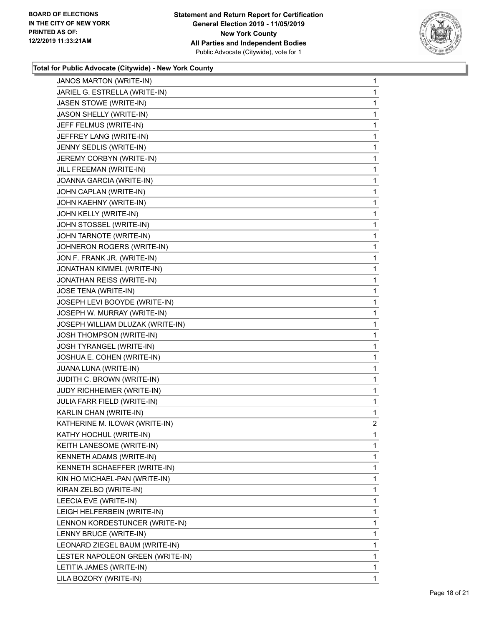

| <b>JANOS MARTON (WRITE-IN)</b>   | $\mathbf{1}$   |
|----------------------------------|----------------|
| JARIEL G. ESTRELLA (WRITE-IN)    | 1              |
| JASEN STOWE (WRITE-IN)           | 1              |
| JASON SHELLY (WRITE-IN)          | 1              |
| JEFF FELMUS (WRITE-IN)           | 1              |
| JEFFREY LANG (WRITE-IN)          | 1              |
| JENNY SEDLIS (WRITE-IN)          | 1              |
| JEREMY CORBYN (WRITE-IN)         | 1              |
| JILL FREEMAN (WRITE-IN)          | 1              |
| JOANNA GARCIA (WRITE-IN)         | 1              |
| JOHN CAPLAN (WRITE-IN)           | 1              |
| JOHN KAEHNY (WRITE-IN)           | 1              |
| JOHN KELLY (WRITE-IN)            | 1              |
| JOHN STOSSEL (WRITE-IN)          | 1              |
| JOHN TARNOTE (WRITE-IN)          | 1              |
| JOHNERON ROGERS (WRITE-IN)       | 1              |
| JON F. FRANK JR. (WRITE-IN)      | 1              |
| JONATHAN KIMMEL (WRITE-IN)       | 1              |
| JONATHAN REISS (WRITE-IN)        | 1              |
| <b>JOSE TENA (WRITE-IN)</b>      | 1              |
| JOSEPH LEVI BOOYDE (WRITE-IN)    | 1              |
| JOSEPH W. MURRAY (WRITE-IN)      | 1              |
| JOSEPH WILLIAM DLUZAK (WRITE-IN) | 1              |
| <b>JOSH THOMPSON (WRITE-IN)</b>  | 1              |
| JOSH TYRANGEL (WRITE-IN)         | 1              |
| JOSHUA E. COHEN (WRITE-IN)       | 1              |
| JUANA LUNA (WRITE-IN)            | 1              |
| JUDITH C. BROWN (WRITE-IN)       | 1              |
| JUDY RICHHEIMER (WRITE-IN)       | 1              |
| JULIA FARR FIELD (WRITE-IN)      | 1              |
| KARLIN CHAN (WRITE-IN)           | 1              |
| KATHERINE M. ILOVAR (WRITE-IN)   | $\overline{2}$ |
| KATHY HOCHUL (WRITE-IN)          | 1              |
| KEITH LANESOME (WRITE-IN)        | 1              |
| KENNETH ADAMS (WRITE-IN)         | 1              |
| KENNETH SCHAEFFER (WRITE-IN)     | 1              |
| KIN HO MICHAEL-PAN (WRITE-IN)    | 1              |
| KIRAN ZELBO (WRITE-IN)           | 1              |
| LEECIA EVE (WRITE-IN)            | 1              |
| LEIGH HELFERBEIN (WRITE-IN)      | 1              |
| LENNON KORDESTUNCER (WRITE-IN)   | 1              |
| LENNY BRUCE (WRITE-IN)           | 1              |
| LEONARD ZIEGEL BAUM (WRITE-IN)   | 1              |
| LESTER NAPOLEON GREEN (WRITE-IN) | 1              |
| LETITIA JAMES (WRITE-IN)         | 1              |
| LILA BOZORY (WRITE-IN)           | 1              |
|                                  |                |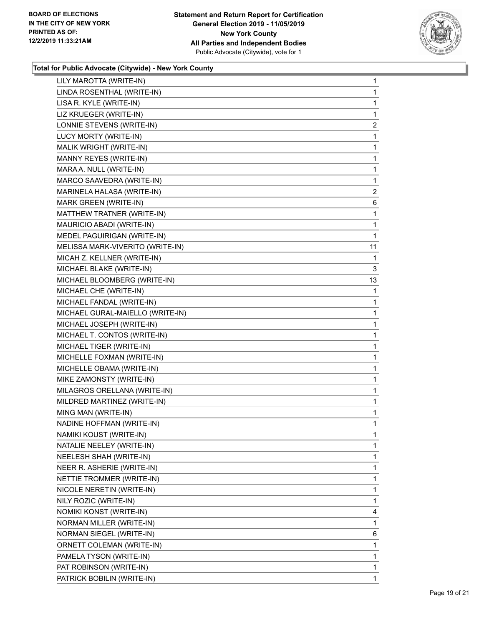

| LILY MAROTTA (WRITE-IN)          | $\mathbf{1}$   |
|----------------------------------|----------------|
| LINDA ROSENTHAL (WRITE-IN)       | 1              |
| LISA R. KYLE (WRITE-IN)          | 1              |
| LIZ KRUEGER (WRITE-IN)           | 1              |
| LONNIE STEVENS (WRITE-IN)        | 2              |
| LUCY MORTY (WRITE-IN)            | 1              |
| MALIK WRIGHT (WRITE-IN)          | $\mathbf{1}$   |
| MANNY REYES (WRITE-IN)           | 1              |
| MARA A. NULL (WRITE-IN)          | 1              |
| MARCO SAAVEDRA (WRITE-IN)        | 1              |
| MARINELA HALASA (WRITE-IN)       | $\overline{2}$ |
| MARK GREEN (WRITE-IN)            | 6              |
| MATTHEW TRATNER (WRITE-IN)       | 1              |
| MAURICIO ABADI (WRITE-IN)        | 1              |
| MEDEL PAGUIRIGAN (WRITE-IN)      | 1              |
| MELISSA MARK-VIVERITO (WRITE-IN) | 11             |
| MICAH Z. KELLNER (WRITE-IN)      | 1              |
| MICHAEL BLAKE (WRITE-IN)         | 3              |
| MICHAEL BLOOMBERG (WRITE-IN)     | 13             |
| MICHAEL CHE (WRITE-IN)           | 1              |
| MICHAEL FANDAL (WRITE-IN)        | 1              |
| MICHAEL GURAL-MAIELLO (WRITE-IN) | 1              |
| MICHAEL JOSEPH (WRITE-IN)        | 1              |
| MICHAEL T. CONTOS (WRITE-IN)     | 1              |
| MICHAEL TIGER (WRITE-IN)         | $\mathbf{1}$   |
| MICHELLE FOXMAN (WRITE-IN)       | 1              |
| MICHELLE OBAMA (WRITE-IN)        | 1              |
| MIKE ZAMONSTY (WRITE-IN)         | 1              |
| MILAGROS ORELLANA (WRITE-IN)     | 1              |
| MILDRED MARTINEZ (WRITE-IN)      | 1              |
| MING MAN (WRITE-IN)              | 1              |
| NADINE HOFFMAN (WRITE-IN)        | 1              |
| NAMIKI KOUST (WRITE-IN)          | 1              |
| NATALIE NEELEY (WRITE-IN)        | 1              |
| NEELESH SHAH (WRITE-IN)          | 1              |
| NEER R. ASHERIE (WRITE-IN)       | 1              |
| NETTIE TROMMER (WRITE-IN)        | 1              |
| NICOLE NERETIN (WRITE-IN)        | 1              |
| NILY ROZIC (WRITE-IN)            | 1              |
| NOMIKI KONST (WRITE-IN)          | 4              |
| NORMAN MILLER (WRITE-IN)         | 1              |
| NORMAN SIEGEL (WRITE-IN)         | 6              |
| ORNETT COLEMAN (WRITE-IN)        | 1              |
| PAMELA TYSON (WRITE-IN)          | 1              |
| PAT ROBINSON (WRITE-IN)          | 1              |
| PATRICK BOBILIN (WRITE-IN)       | $\mathbf{1}$   |
|                                  |                |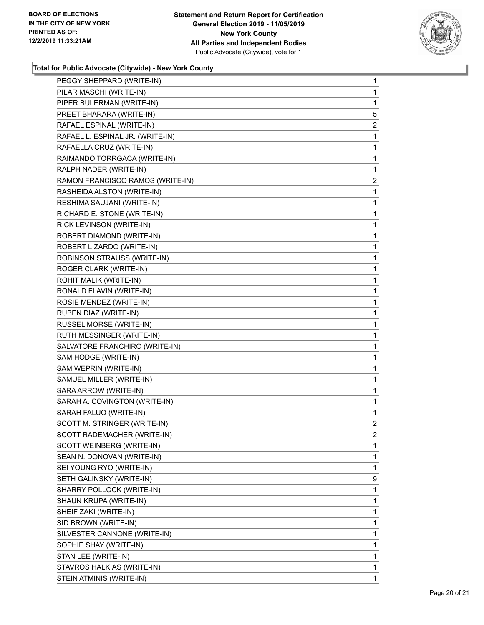

| PEGGY SHEPPARD (WRITE-IN)        | $\mathbf{1}$            |
|----------------------------------|-------------------------|
| PILAR MASCHI (WRITE-IN)          | 1                       |
| PIPER BULERMAN (WRITE-IN)        | 1                       |
| PREET BHARARA (WRITE-IN)         | 5                       |
| RAFAEL ESPINAL (WRITE-IN)        | 2                       |
| RAFAEL L. ESPINAL JR. (WRITE-IN) | 1                       |
| RAFAELLA CRUZ (WRITE-IN)         | $\mathbf{1}$            |
| RAIMANDO TORRGACA (WRITE-IN)     | $\mathbf{1}$            |
| RALPH NADER (WRITE-IN)           | 1                       |
| RAMON FRANCISCO RAMOS (WRITE-IN) | $\overline{\mathbf{c}}$ |
| RASHEIDA ALSTON (WRITE-IN)       | 1                       |
| RESHIMA SAUJANI (WRITE-IN)       | 1                       |
| RICHARD E. STONE (WRITE-IN)      | $\mathbf{1}$            |
| RICK LEVINSON (WRITE-IN)         | 1                       |
| ROBERT DIAMOND (WRITE-IN)        | 1                       |
| ROBERT LIZARDO (WRITE-IN)        | $\mathbf 1$             |
| ROBINSON STRAUSS (WRITE-IN)      | 1                       |
| ROGER CLARK (WRITE-IN)           | 1                       |
| ROHIT MALIK (WRITE-IN)           | $\mathbf{1}$            |
| RONALD FLAVIN (WRITE-IN)         | 1                       |
| ROSIE MENDEZ (WRITE-IN)          | 1                       |
| RUBEN DIAZ (WRITE-IN)            | $\mathbf 1$             |
| RUSSEL MORSE (WRITE-IN)          | 1                       |
| RUTH MESSINGER (WRITE-IN)        | 1                       |
| SALVATORE FRANCHIRO (WRITE-IN)   | $\mathbf{1}$            |
| SAM HODGE (WRITE-IN)             | 1                       |
| SAM WEPRIN (WRITE-IN)            | 1                       |
| SAMUEL MILLER (WRITE-IN)         | $\mathbf{1}$            |
| SARA ARROW (WRITE-IN)            | 1                       |
| SARAH A. COVINGTON (WRITE-IN)    | 1                       |
| SARAH FALUO (WRITE-IN)           | $\mathbf{1}$            |
| SCOTT M. STRINGER (WRITE-IN)     | $\overline{2}$          |
| SCOTT RADEMACHER (WRITE-IN)      | 2                       |
| SCOTT WEINBERG (WRITE-IN)        | 1                       |
| SEAN N. DONOVAN (WRITE-IN)       | 1                       |
| SEI YOUNG RYO (WRITE-IN)         | 1                       |
| SETH GALINSKY (WRITE-IN)         | 9                       |
| SHARRY POLLOCK (WRITE-IN)        | 1                       |
| SHAUN KRUPA (WRITE-IN)           | 1                       |
| SHEIF ZAKI (WRITE-IN)            | 1                       |
| SID BROWN (WRITE-IN)             | 1                       |
| SILVESTER CANNONE (WRITE-IN)     | 1                       |
| SOPHIE SHAY (WRITE-IN)           | 1                       |
| STAN LEE (WRITE-IN)              | 1                       |
| STAVROS HALKIAS (WRITE-IN)       | 1                       |
| STEIN ATMINIS (WRITE-IN)         | $\mathbf{1}$            |